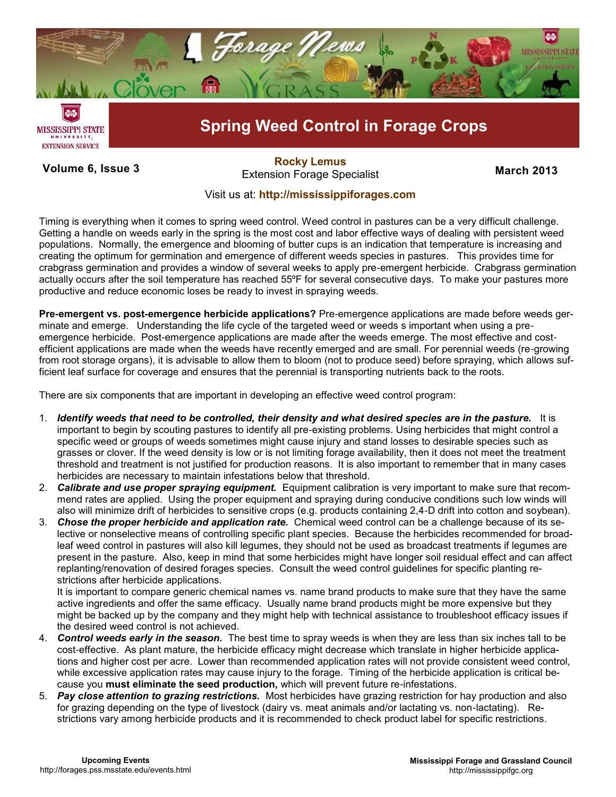

**Volume 6, Issue 3 March 2013**<br>Extension Forage Specialist **March 2013 [Rocky Lemus](http://forages.pss.msstate.edu/)**

## Visit us at: **<http://mississippiforages.com>**

Timing is everything when it comes to spring weed control. Weed control in pastures can be a very difficult challenge. Getting a handle on weeds early in the spring is the most cost and labor effective ways of dealing with persistent weed populations. Normally, the emergence and blooming of butter cups is an indication that temperature is increasing and creating the optimum for germination and emergence of different weeds species in pastures. This provides time for crabgrass germination and provides a window of several weeks to apply pre-emergent herbicide. Crabgrass germination actually occurs after the soil temperature has reached 55ºF for several consecutive days. To make your pastures more productive and reduce economic loses be ready to invest in spraying weeds.

**Pre-emergent vs. post-emergence herbicide applications?** Pre-emergence applications are made before weeds germinate and emerge. Understanding the life cycle of the targeted weed or weeds s important when using a preemergence herbicide. Post-emergence applications are made after the weeds emerge. The most effective and costefficient applications are made when the weeds have recently emerged and are small. For perennial weeds (re-growing from root storage organs), it is advisable to allow them to bloom (not to produce seed) before spraying, which allows sufficient leaf surface for coverage and ensures that the perennial is transporting nutrients back to the roots.

There are six components that are important in developing an effective weed control program:

- 1. *Identify weeds that need to be controlled, their density and what desired species are in the pasture.* It is important to begin by scouting pastures to identify all pre-existing problems. Using herbicides that might control a specific weed or groups of weeds sometimes might cause injury and stand losses to desirable species such as grasses or clover. If the weed density is low or is not limiting forage availability, then it does not meet the treatment threshold and treatment is not justified for production reasons. It is also important to remember that in many cases herbicides are necessary to maintain infestations below that threshold.
- 2. *Calibrate and use proper spraying equipment.* Equipment calibration is very important to make sure that recommend rates are applied. Using the proper equipment and spraying during conducive conditions such low winds will also will minimize drift of herbicides to sensitive crops (e.g. products containing 2,4-D drift into cotton and soybean).
- 3. *Chose the proper herbicide and application rate.* Chemical weed control can be a challenge because of its selective or nonselective means of controlling specific plant species. Because the herbicides recommended for broadleaf weed control in pastures will also kill legumes, they should not be used as broadcast treatments if legumes are present in the pasture. Also, keep in mind that some herbicides might have longer soil residual effect and can affect replanting/renovation of desired forages species. Consult the weed control guidelines for specific planting restrictions after herbicide applications.

It is important to compare generic chemical names vs. name brand products to make sure that they have the same active ingredients and offer the same efficacy. Usually name brand products might be more expensive but they might be backed up by the company and they might help with technical assistance to troubleshoot efficacy issues if the desired weed control is not achieved.

- 4. *Control weeds early in the season.* The best time to spray weeds is when they are less than six inches tall to be cost-effective. As plant mature, the herbicide efficacy might decrease which translate in higher herbicide applications and higher cost per acre. Lower than recommended application rates will not provide consistent weed control, while excessive application rates may cause injury to the forage. Timing of the herbicide application is critical because you **must eliminate the seed production,** which will prevent future re-infestations.
- 5. *Pay close attention to grazing restrictions.* Most herbicides have grazing restriction for hay production and also for grazing depending on the type of livestock (dairy vs. meat animals and/or lactating vs. non-lactating). Restrictions vary among herbicide products and it is recommended to check product label for specific restrictions.